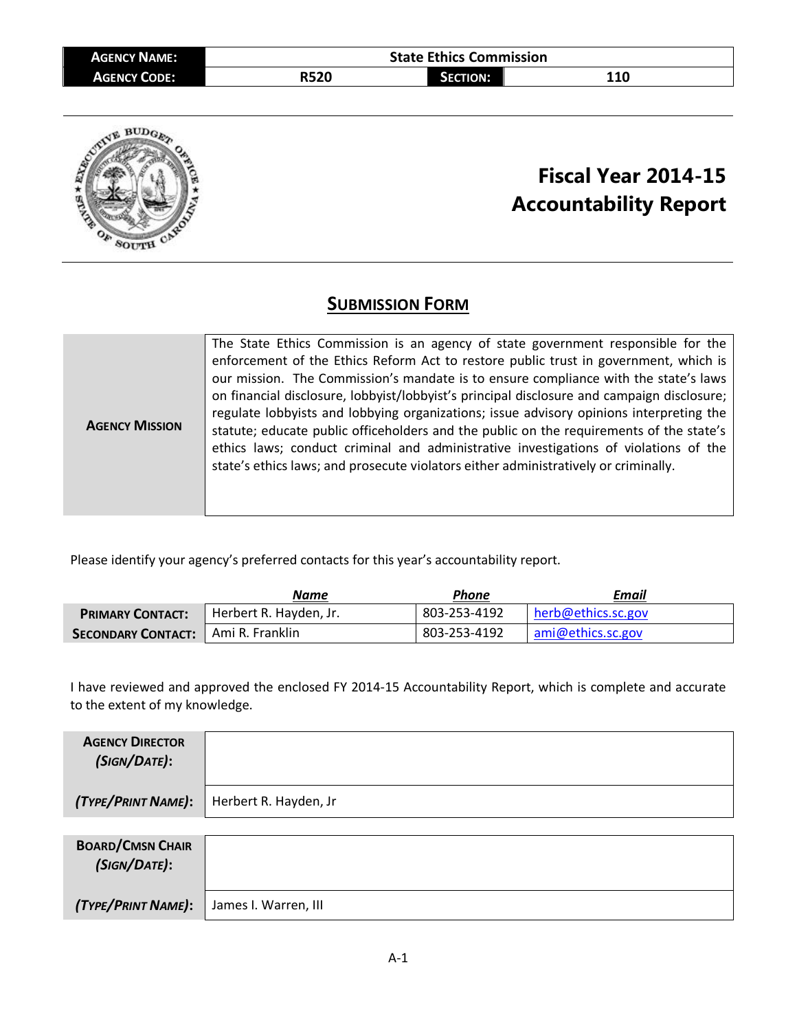| <b>AGENCY NAME:</b> | <b>State Ethics Commission</b> |                 |     |  |
|---------------------|--------------------------------|-----------------|-----|--|
| <b>AGENCY CODE:</b> | <b>R520</b>                    | <b>SECTION:</b> | 110 |  |



## **Fiscal Year 2014-15 Accountability Report**

## **SUBMISSION FORM**

|                       | The State Ethics Commission is an agency of state government responsible for the           |
|-----------------------|--------------------------------------------------------------------------------------------|
|                       | enforcement of the Ethics Reform Act to restore public trust in government, which is       |
|                       | our mission. The Commission's mandate is to ensure compliance with the state's laws        |
|                       | on financial disclosure, lobbyist/lobbyist's principal disclosure and campaign disclosure; |
| <b>AGENCY MISSION</b> | regulate lobbyists and lobbying organizations; issue advisory opinions interpreting the    |
|                       | statute; educate public officeholders and the public on the requirements of the state's    |
|                       | ethics laws; conduct criminal and administrative investigations of violations of the       |
|                       | state's ethics laws; and prosecute violators either administratively or criminally.        |
|                       |                                                                                            |
|                       |                                                                                            |

Please identify your agency's preferred contacts for this year's accountability report.

|                                      | Name                   | Phone        | Email              |
|--------------------------------------|------------------------|--------------|--------------------|
| <b>PRIMARY CONTACT:</b>              | Herbert R. Hayden, Jr. | 803-253-4192 | herb@ethics.sc.gov |
| SECONDARY CONTACT:   Ami R. Franklin |                        | 803-253-4192 | ami@ethics.sc.gov  |

I have reviewed and approved the enclosed FY 2014-15 Accountability Report, which is complete and accurate to the extent of my knowledge.

| <b>AGENCY DIRECTOR</b><br>(SIGN/DATE):  |                       |
|-----------------------------------------|-----------------------|
| (TYPE/PRINT NAME):                      | Herbert R. Hayden, Jr |
|                                         |                       |
| <b>BOARD/CMSN CHAIR</b><br>(SIGN/DATE): |                       |
| (TYPE/PRINT NAME):                      | James I. Warren, III  |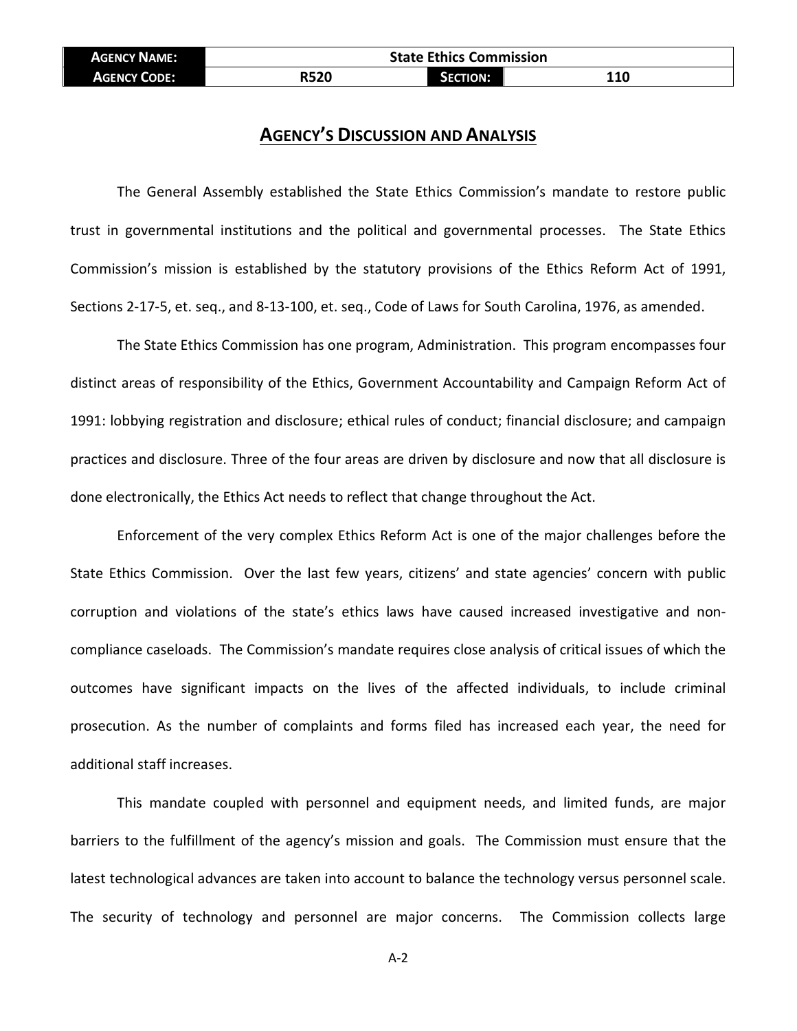| <b>AGENCY NAME:</b> | <b>State Ethics Commission</b> |                 |     |
|---------------------|--------------------------------|-----------------|-----|
| <b>AGENCY CODE:</b> | <b>R520</b>                    | <b>SECTION:</b> | 110 |

## **AGENCY'S DISCUSSION AND ANALYSIS**

The General Assembly established the State Ethics Commission's mandate to restore public trust in governmental institutions and the political and governmental processes. The State Ethics Commission's mission is established by the statutory provisions of the Ethics Reform Act of 1991, Sections 2-17-5, et. seq., and 8-13-100, et. seq., Code of Laws for South Carolina, 1976, as amended.

The State Ethics Commission has one program, Administration. This program encompasses four distinct areas of responsibility of the Ethics, Government Accountability and Campaign Reform Act of 1991: lobbying registration and disclosure; ethical rules of conduct; financial disclosure; and campaign practices and disclosure. Three of the four areas are driven by disclosure and now that all disclosure is done electronically, the Ethics Act needs to reflect that change throughout the Act.

Enforcement of the very complex Ethics Reform Act is one of the major challenges before the State Ethics Commission. Over the last few years, citizens' and state agencies' concern with public corruption and violations of the state's ethics laws have caused increased investigative and noncompliance caseloads. The Commission's mandate requires close analysis of critical issues of which the outcomes have significant impacts on the lives of the affected individuals, to include criminal prosecution. As the number of complaints and forms filed has increased each year, the need for additional staff increases.

This mandate coupled with personnel and equipment needs, and limited funds, are major barriers to the fulfillment of the agency's mission and goals. The Commission must ensure that the latest technological advances are taken into account to balance the technology versus personnel scale. The security of technology and personnel are major concerns. The Commission collects large